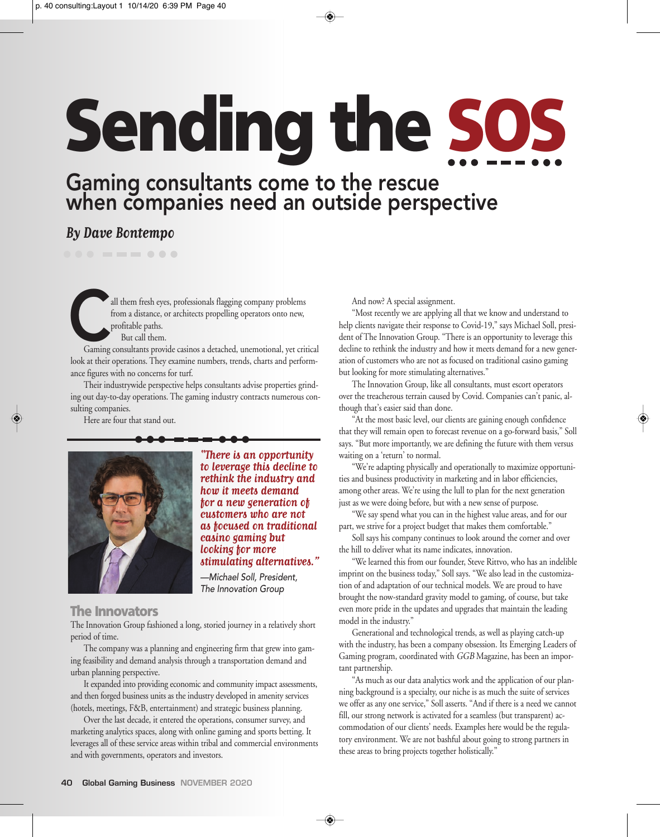# **Sending the SOS**

# Gaming consultants come to the rescue when companies need an outside perspective

## **By Dave Bontempo**

all them fresh eyes, professionals flagging company problems<br>from a distance, or architects propelling operators onto new,<br>profitable paths.<br>But call them.<br>Gaming consultants provide casinos a detached, unemotional, yet cr from a distance, or architects propelling operators onto new, profitable paths. But call them.

look at their operations. They examine numbers, trends, charts and performance figures with no concerns for turf.

Their industrywide perspective helps consultants advise properties grinding out day-to-day operations. The gaming industry contracts numerous consulting companies.

Here are four that stand out.



**"There is an opportunity to leverage this decline to rethink the industry and how it meets demand for a new generation of customers who are not as focused on traditional casino gaming but looking for more stimulating alternatives."**

*—Michael Soll, President, The Innovation Group*

### **The Innovators**

The Innovation Group fashioned a long, storied journey in a relatively short period of time.

The company was a planning and engineering firm that grew into gaming feasibility and demand analysis through a transportation demand and urban planning perspective.

It expanded into providing economic and community impact assessments, and then forged business units as the industry developed in amenity services (hotels, meetings, F&B, entertainment) and strategic business planning.

Over the last decade, it entered the operations, consumer survey, and marketing analytics spaces, along with online gaming and sports betting. It leverages all of these service areas within tribal and commercial environments and with governments, operators and investors.

And now? A special assignment.

"Most recently we are applying all that we know and understand to help clients navigate their response to Covid-19," says Michael Soll, president of The Innovation Group. "There is an opportunity to leverage this decline to rethink the industry and how it meets demand for a new generation of customers who are not as focused on traditional casino gaming but looking for more stimulating alternatives."

The Innovation Group, like all consultants, must escort operators over the treacherous terrain caused by Covid. Companies can't panic, although that's easier said than done.

"At the most basic level, our clients are gaining enough confidence that they will remain open to forecast revenue on a go-forward basis," Soll says. "But more importantly, we are defining the future with them versus waiting on a 'return' to normal.

"We're adapting physically and operationally to maximize opportunities and business productivity in marketing and in labor efficiencies, among other areas. We're using the lull to plan for the next generation just as we were doing before, but with a new sense of purpose.

"We say spend what you can in the highest value areas, and for our part, we strive for a project budget that makes them comfortable."

Soll says his company continues to look around the corner and over the hill to deliver what its name indicates, innovation.

"We learned this from our founder, Steve Rittvo, who has an indelible imprint on the business today," Soll says. "We also lead in the customization of and adaptation of our technical models. We are proud to have brought the now-standard gravity model to gaming, of course, but take even more pride in the updates and upgrades that maintain the leading model in the industry."

Generational and technological trends, as well as playing catch-up with the industry, has been a company obsession. Its Emerging Leaders of Gaming program, coordinated with GGB Magazine, has been an important partnership.

"As much as our data analytics work and the application of our planning background is a specialty, our niche is as much the suite of services we offer as any one service," Soll asserts. "And if there is a need we cannot fill, our strong network is activated for a seamless (but transparent) accommodation of our clients' needs. Examples here would be the regulatory environment. We are not bashful about going to strong partners in these areas to bring projects together holistically."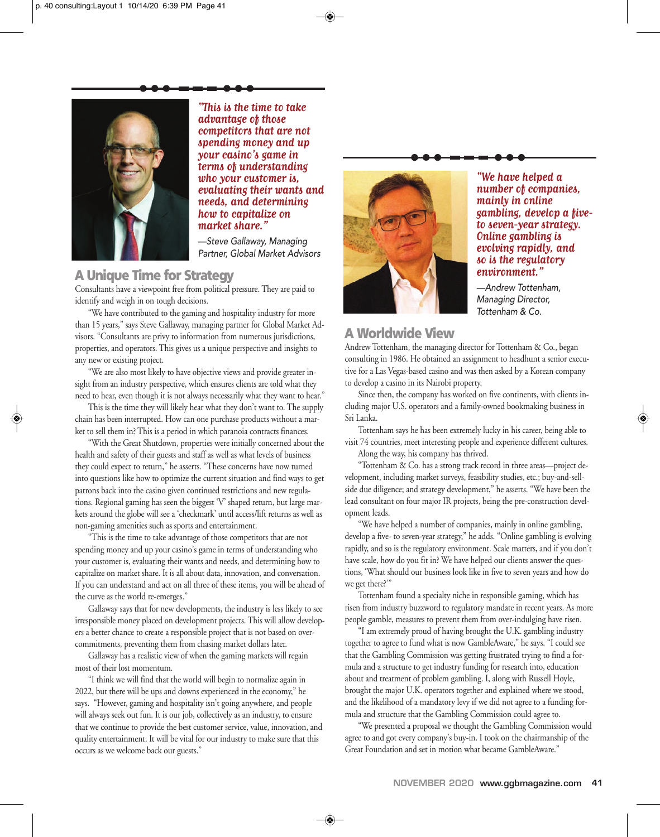

**"This is the time to take advantage of those competitors that are not spending money and up your casino's game in terms of understanding who your customer is, evaluating their wants and needs, and determining how to capitalize on market share."**

*—Steve Gallaway, Managing Partner, Global Market Advisors*

### **A Unique Time for Strategy**

Consultants have a viewpoint free from political pressure. They are paid to identify and weigh in on tough decisions.

"We have contributed to the gaming and hospitality industry for more than 15 years," says Steve Gallaway, managing partner for Global Market Advisors. "Consultants are privy to information from numerous jurisdictions, properties, and operators. This gives us a unique perspective and insights to any new or existing project.

"We are also most likely to have objective views and provide greater insight from an industry perspective, which ensures clients are told what they need to hear, even though it is not always necessarily what they want to hear."

This is the time they will likely hear what they don't want to. The supply chain has been interrupted. How can one purchase products without a market to sell them in? This is a period in which paranoia contracts finances.

"With the Great Shutdown, properties were initially concerned about the health and safety of their guests and staff as well as what levels of business they could expect to return," he asserts. "These concerns have now turned into questions like how to optimize the current situation and find ways to get patrons back into the casino given continued restrictions and new regulations. Regional gaming has seen the biggest 'V' shaped return, but large markets around the globe will see a 'checkmark' until access/lift returns as well as non-gaming amenities such as sports and entertainment.

"This is the time to take advantage of those competitors that are not spending money and up your casino's game in terms of understanding who your customer is, evaluating their wants and needs, and determining how to capitalize on market share. It is all about data, innovation, and conversation. If you can understand and act on all three of these items, you will be ahead of the curve as the world re-emerges."

Gallaway says that for new developments, the industry is less likely to see irresponsible money placed on development projects. This will allow developers a better chance to create a responsible project that is not based on overcommitments, preventing them from chasing market dollars later.

Gallaway has a realistic view of when the gaming markets will regain most of their lost momentum.

"I think we will find that the world will begin to normalize again in 2022, but there will be ups and downs experienced in the economy," he says. "However, gaming and hospitality isn't going anywhere, and people will always seek out fun. It is our job, collectively as an industry, to ensure that we continue to provide the best customer service, value, innovation, and quality entertainment. It will be vital for our industry to make sure that this occurs as we welcome back our guests."



**"We have helped a number of companies, mainly in online gambling, develop a fiveto seven-year strategy. Online gambling is evolving rapidly, and so is the regulatory environment."**

*—Andrew Tottenham, Managing Director, Tottenham & Co.*

### **A Worldwide View**

Andrew Tottenham, the managing director for Tottenham & Co., began consulting in 1986. He obtained an assignment to headhunt a senior executive for a Las Vegas-based casino and was then asked by a Korean company to develop a casino in its Nairobi property.

Since then, the company has worked on five continents, with clients including major U.S. operators and a family-owned bookmaking business in Sri Lanka.

Tottenham says he has been extremely lucky in his career, being able to visit 74 countries, meet interesting people and experience different cultures.

Along the way, his company has thrived.

"Tottenham & Co. has a strong track record in three areas—project development, including market surveys, feasibility studies, etc.; buy-and-sellside due diligence; and strategy development," he asserts. "We have been the lead consultant on four major IR projects, being the pre-construction development leads.

"We have helped a number of companies, mainly in online gambling, develop a five- to seven-year strategy," he adds. "Online gambling is evolving rapidly, and so is the regulatory environment. Scale matters, and if you don't have scale, how do you fit in? We have helped our clients answer the questions, 'What should our business look like in five to seven years and how do we get there?'"

Tottenham found a specialty niche in responsible gaming, which has risen from industry buzzword to regulatory mandate in recent years. As more people gamble, measures to prevent them from over-indulging have risen.

"I am extremely proud of having brought the U.K. gambling industry together to agree to fund what is now GambleAware," he says. "I could see that the Gambling Commission was getting frustrated trying to find a formula and a structure to get industry funding for research into, education about and treatment of problem gambling. I, along with Russell Hoyle, brought the major U.K. operators together and explained where we stood, and the likelihood of a mandatory levy if we did not agree to a funding formula and structure that the Gambling Commission could agree to.

"We presented a proposal we thought the Gambling Commission would agree to and got every company's buy-in. I took on the chairmanship of the Great Foundation and set in motion what became GambleAware."